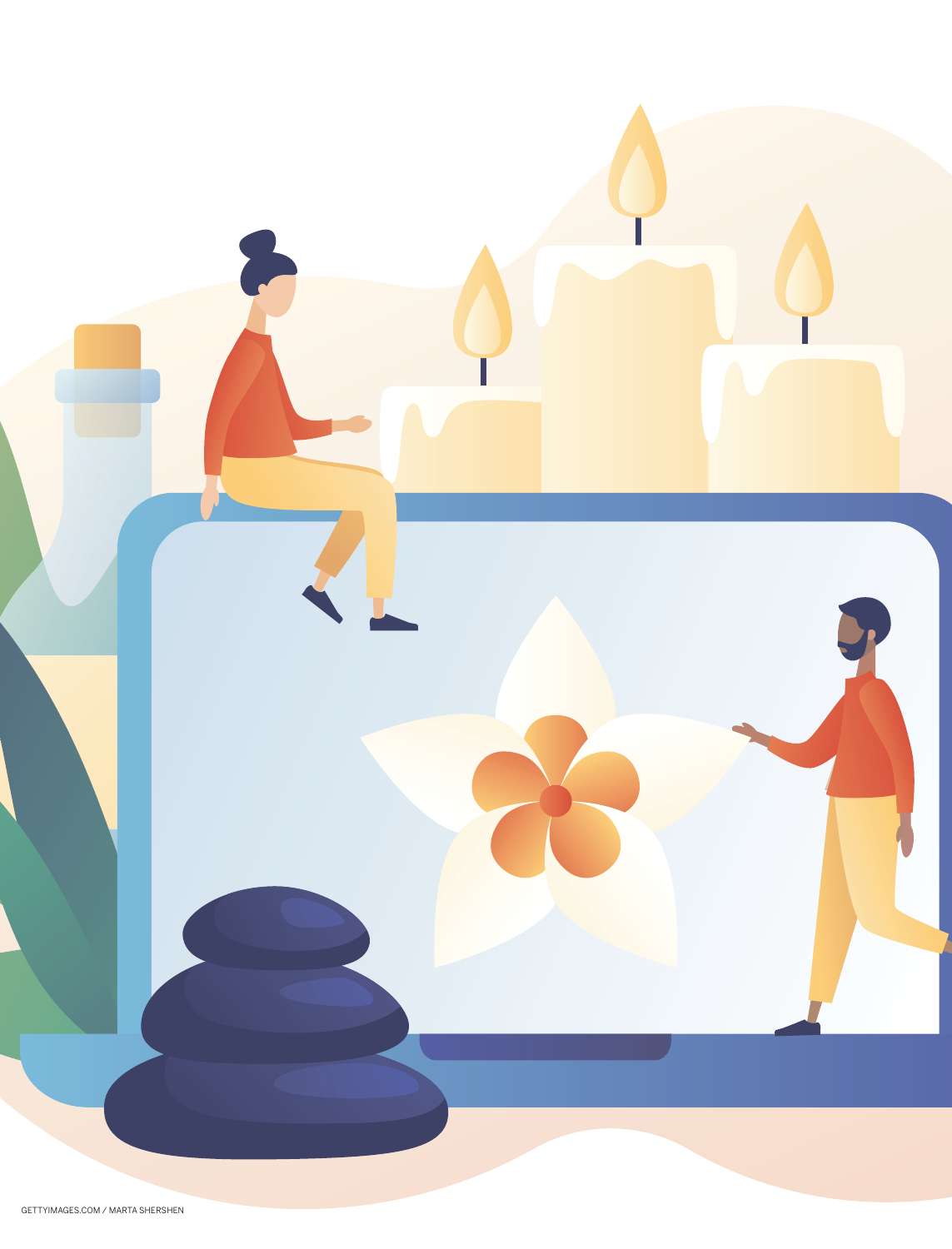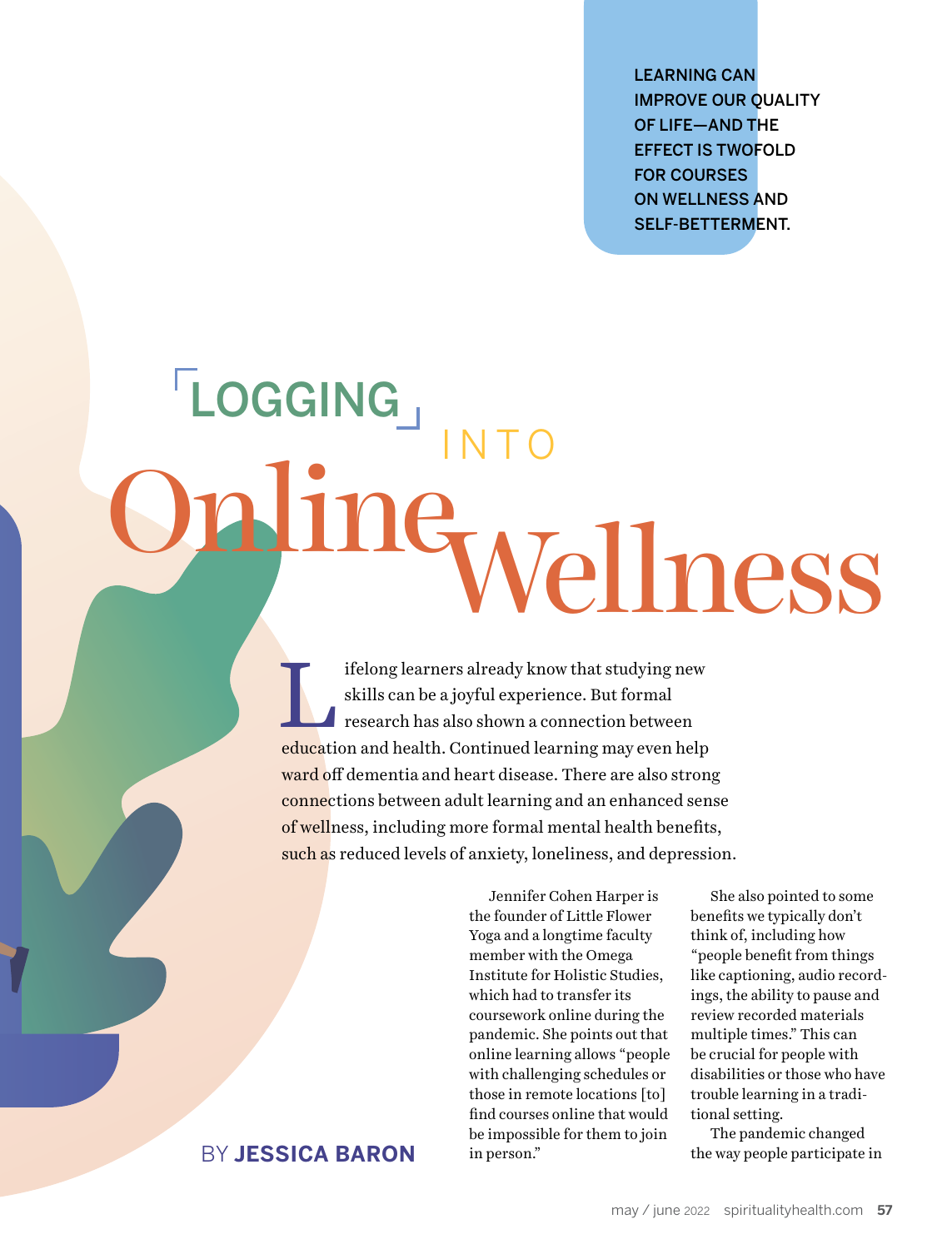LEARNING CAN IMPROVE OUR QUALITY OF LIFE—AND THE EFFECT IS TWOFOLD FOR COURSES ON WELLNESS AND SELF-BETTERMENT.

# INTO **LOGGING** Online Wellness

ifelong learners already know that studying new skills can be a joyful experience. But formal research has also shown a connection between education and health. Continued learning may even help ward off dementia and heart disease. There are also strong connections between adult learning and an enhanced sense of wellness, including more formal mental health benefits, such as reduced levels of anxiety, loneliness, and depression.

> Jennifer Cohen Harper is the founder of Little Flower Yoga and a longtime faculty member with the Omega Institute for Holistic Studies, which had to transfer its coursework online during the pandemic. She points out that online learning allows "people with challenging schedules or those in remote locations [to] find courses online that would be impossible for them to join in person."

She also pointed to some benefits we typically don't think of, including how "people benefit from things like captioning, audio recordings, the ability to pause and review recorded materials multiple times." This can be crucial for people with disabilities or those who have trouble learning in a traditional setting.

The pandemic changed the way people participate in

## BY **JESSICA BARON**